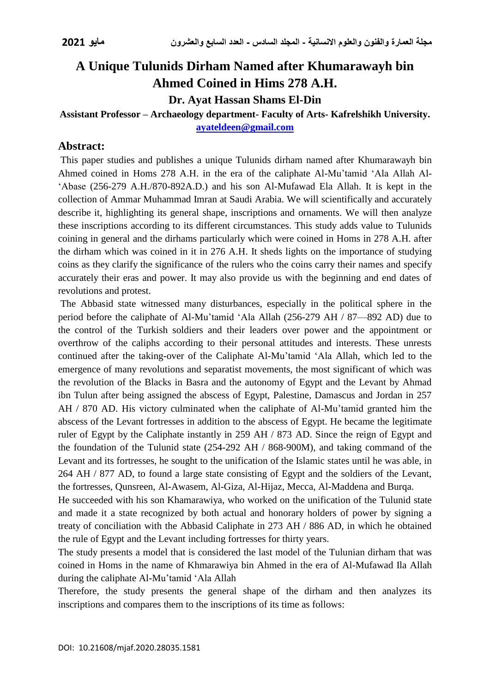# **A Unique Tulunids Dirham Named after Khumarawayh bin Ahmed Coined in Hims 278 A.H.**

**Dr. Ayat Hassan Shams El-Din**

#### **Assistant Professor – Archaeology department- Faculty of Arts- Kafrelshikh University. [ayateldeen@gmail.com](mailto:ayateldeen@gmail.com)**

### **Abstract:**

This paper studies and publishes a unique Tulunids dirham named after Khumarawayh bin Ahmed coined in Homs 278 A.H. in the era of the caliphate Al-Mu'tamid 'Ala Allah Al- 'Abase (256-279 A.H./870-892A.D.) and his son Al-Mufawad Ela Allah. It is kept in the collection of Ammar Muhammad Imran at Saudi Arabia. We will scientifically and accurately describe it, highlighting its general shape, inscriptions and ornaments. We will then analyze these inscriptions according to its different circumstances. This study adds value to Tulunids coining in general and the dirhams particularly which were coined in Homs in 278 A.H. after the dirham which was coined in it in 276 A.H. It sheds lights on the importance of studying coins as they clarify the significance of the rulers who the coins carry their names and specify accurately their eras and power. It may also provide us with the beginning and end dates of revolutions and protest.

The Abbasid state witnessed many disturbances, especially in the political sphere in the period before the caliphate of Al-Mu'tamid 'Ala Allah (256-279 AH / 87—892 AD) due to the control of the Turkish soldiers and their leaders over power and the appointment or overthrow of the caliphs according to their personal attitudes and interests. These unrests continued after the taking-over of the Caliphate Al-Mu'tamid 'Ala Allah, which led to the emergence of many revolutions and separatist movements, the most significant of which was the revolution of the Blacks in Basra and the autonomy of Egypt and the Levant by Ahmad ibn Tulun after being assigned the abscess of Egypt, Palestine, Damascus and Jordan in 257 AH / 870 AD. His victory culminated when the caliphate of Al-Mu'tamid granted him the abscess of the Levant fortresses in addition to the abscess of Egypt. He became the legitimate ruler of Egypt by the Caliphate instantly in 259 AH / 873 AD. Since the reign of Egypt and the foundation of the Tulunid state (254-292 AH / 868-900M), and taking command of the Levant and its fortresses, he sought to the unification of the Islamic states until he was able, in 264 AH / 877 AD, to found a large state consisting of Egypt and the soldiers of the Levant, the fortresses, Qunsreen, Al-Awasem, Al-Giza, Al-Hijaz, Mecca, Al-Maddena and Burqa.

He succeeded with his son Khamarawiya, who worked on the unification of the Tulunid state and made it a state recognized by both actual and honorary holders of power by signing a treaty of conciliation with the Abbasid Caliphate in 273 AH / 886 AD, in which he obtained the rule of Egypt and the Levant including fortresses for thirty years.

The study presents a model that is considered the last model of the Tulunian dirham that was coined in Homs in the name of Khmarawiya bin Ahmed in the era of Al-Mufawad Ila Allah during the caliphate Al-Mu'tamid 'Ala Allah

Therefore, the study presents the general shape of the dirham and then analyzes its inscriptions and compares them to the inscriptions of its time as follows: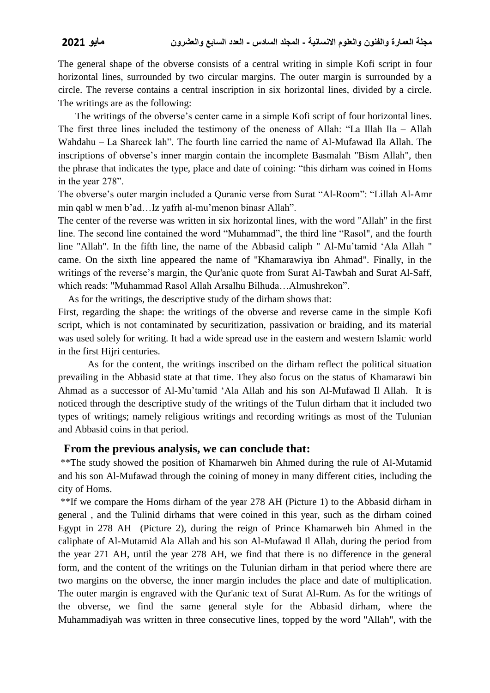The general shape of the obverse consists of a central writing in simple Kofi script in four horizontal lines, surrounded by two circular margins. The outer margin is surrounded by a circle. The reverse contains a central inscription in six horizontal lines, divided by a circle. The writings are as the following:

 The writings of the obverse's center came in a simple Kofi script of four horizontal lines. The first three lines included the testimony of the oneness of Allah: "La Illah Ila – Allah Wahdahu – La Shareek lah". The fourth line carried the name of Al-Mufawad Ila Allah. The inscriptions of obverse's inner margin contain the incomplete Basmalah "Bism Allah", then the phrase that indicates the type, place and date of coining: "this dirham was coined in Homs in the year 278".

The obverse's outer margin included a Quranic verse from Surat "Al-Room": "Lillah Al-Amr min qabl w men b'ad…Iz yafrh al-mu'menon binasr Allah".

The center of the reverse was written in six horizontal lines, with the word "Allah" in the first line. The second line contained the word "Muhammad", the third line "Rasol", and the fourth line "Allah". In the fifth line, the name of the Abbasid caliph " Al-Mu'tamid 'Ala Allah " came. On the sixth line appeared the name of "Khamarawiya ibn Ahmad". Finally, in the writings of the reverse's margin, the Qur'anic quote from Surat Al-Tawbah and Surat Al-Saff, which reads: "Muhammad Rasol Allah Arsalhu Bilhuda…Almushrekon".

As for the writings, the descriptive study of the dirham shows that:

First, regarding the shape: the writings of the obverse and reverse came in the simple Kofi script, which is not contaminated by securitization, passivation or braiding, and its material was used solely for writing. It had a wide spread use in the eastern and western Islamic world in the first Hijri centuries.

As for the content, the writings inscribed on the dirham reflect the political situation prevailing in the Abbasid state at that time. They also focus on the status of Khamarawi bin Ahmad as a successor of Al-Mu'tamid 'Ala Allah and his son Al-Mufawad Il Allah. It is noticed through the descriptive study of the writings of the Tulun dirham that it included two types of writings; namely religious writings and recording writings as most of the Tulunian and Abbasid coins in that period.

#### **From the previous analysis, we can conclude that:**

 \*\*The study showed the position of Khamarweh bin Ahmed during the rule of Al-Mutamid and his son Al-Mufawad through the coining of money in many different cities, including the city of Homs.

 \*\*If we compare the Homs dirham of the year 278 AH (Picture 1) to the Abbasid dirham in general , and the Tulinid dirhams that were coined in this year, such as the dirham coined Egypt in 278 AH (Picture 2), during the reign of Prince Khamarweh bin Ahmed in the caliphate of Al-Mutamid Ala Allah and his son Al-Mufawad Il Allah, during the period from the year 271 AH, until the year 278 AH, we find that there is no difference in the general form, and the content of the writings on the Tulunian dirham in that period where there are two margins on the obverse, the inner margin includes the place and date of multiplication. The outer margin is engraved with the Qur'anic text of Surat Al-Rum. As for the writings of the obverse, we find the same general style for the Abbasid dirham, where the Muhammadiyah was written in three consecutive lines, topped by the word "Allah", with the